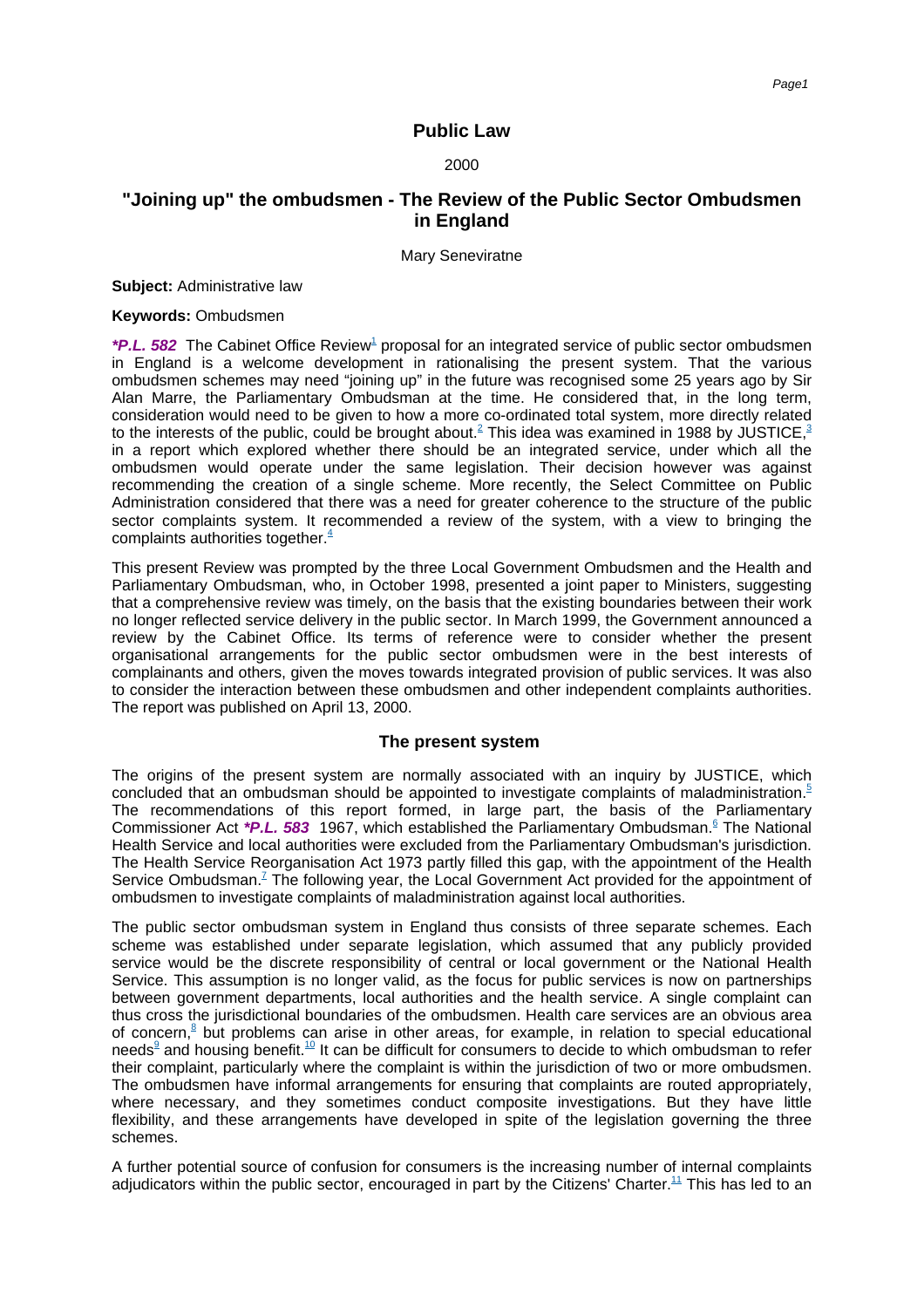# **Public Law**

#### 2000

# **"Joining up" the ombudsmen - The Review of the Public Sector Ombudsmen in England**

Mary Seneviratne

**Subject:** Administrative law

**Keywords:** Ombudsmen

\*P.L. 582 The Cabinet Offic[e Review](#page-4-0)<sup>1</sup> proposal for an integrated service of public sector ombudsmen in England is a welcome development in rationalising the present system. That the various ombudsmen schemes may need "joining up" in the future was recognised some 25 years ago by Sir Alan Marre, the Parliamentary Ombudsman at the time. He considered that, in the long term, consideration would need to be given to how a more co-ordinated total system, more directly related to the interests of the public, could be brought [about.](#page-4-1)<sup>2</sup> This idea was examined in 1988 by [JUSTICE,](#page-4-2)<sup>3</sup> in a report which explored whether there should be an integrated service, under which all the ombudsmen would operate under the same legislation. Their decision however was against recommending the creation of a single scheme. More recently, the Select Committee on Public Administration considered that there was a need for greater coherence to the structure of the public sector complaints system. It recommended a review of the system, with a view to bringing the complaints authorities [together.](#page-4-3) $\frac{4}{3}$ 

This present Review was prompted by the three Local Government Ombudsmen and the Health and Parliamentary Ombudsman, who, in October 1998, presented a joint paper to Ministers, suggesting that a comprehensive review was timely, on the basis that the existing boundaries between their work no longer reflected service delivery in the public sector. In March 1999, the Government announced a review by the Cabinet Office. Its terms of reference were to consider whether the present organisational arrangements for the public sector ombudsmen were in the best interests of complainants and others, given the moves towards integrated provision of public services. It was also to consider the interaction between these ombudsmen and other independent complaints authorities. The report was published on April 13, 2000.

#### **The present system**

The origins of the present system are normally associated with an inquiry by JUSTICE, which concluded that an ombudsman should be appointed to investigate complaints of [maladministration.](#page-4-4)<sup>5</sup> The recommendations of this report formed, in large part, the basis of the Parliamentary Commissioner Act \*P.L. 583 1967, which established the Parliamentary [Ombudsman.](#page-4-5)<sup>6</sup> The National Health Service and local authorities were excluded from the Parliamentary Ombudsman's jurisdiction. The Health Service Reorganisation Act 1973 partly filled this gap, with the appointment of the Health Service [Ombudsman.](#page-5-0)<sup> $7$ </sup> The following year, the Local Government Act provided for the appointment of ombudsmen to investigate complaints of maladministration against local authorities.

The public sector ombudsman system in England thus consists of three separate schemes. Each scheme was established under separate legislation, which assumed that any publicly provided service would be the discrete responsibility of central or local government or the National Health Service. This assumption is no longer valid, as the focus for public services is now on partnerships between government departments, local authorities and the health service. A single complaint can thus cross the jurisdictional boundaries of the ombudsmen. Health care services are an obvious area of [concern,](#page-5-1)<sup>8</sup> but problems can arise in other areas, for example, in relation to special educational [needs](#page-5-2)<sup>9</sup> and housing [benefit.](#page-5-3)<sup>10</sup> It can be difficult for consumers to decide to which ombudsman to refer their complaint, particularly where the complaint is within the jurisdiction of two or more ombudsmen. The ombudsmen have informal arrangements for ensuring that complaints are routed appropriately, where necessary, and they sometimes conduct composite investigations. But they have little flexibility, and these arrangements have developed in spite of the legislation governing the three schemes.

A further potential source of confusion for consumers is the increasing number of internal complaints adjudicators within the public sector, encouraged in part by the Citizens' [Charter.](#page-5-4)<sup>11</sup> This has led to an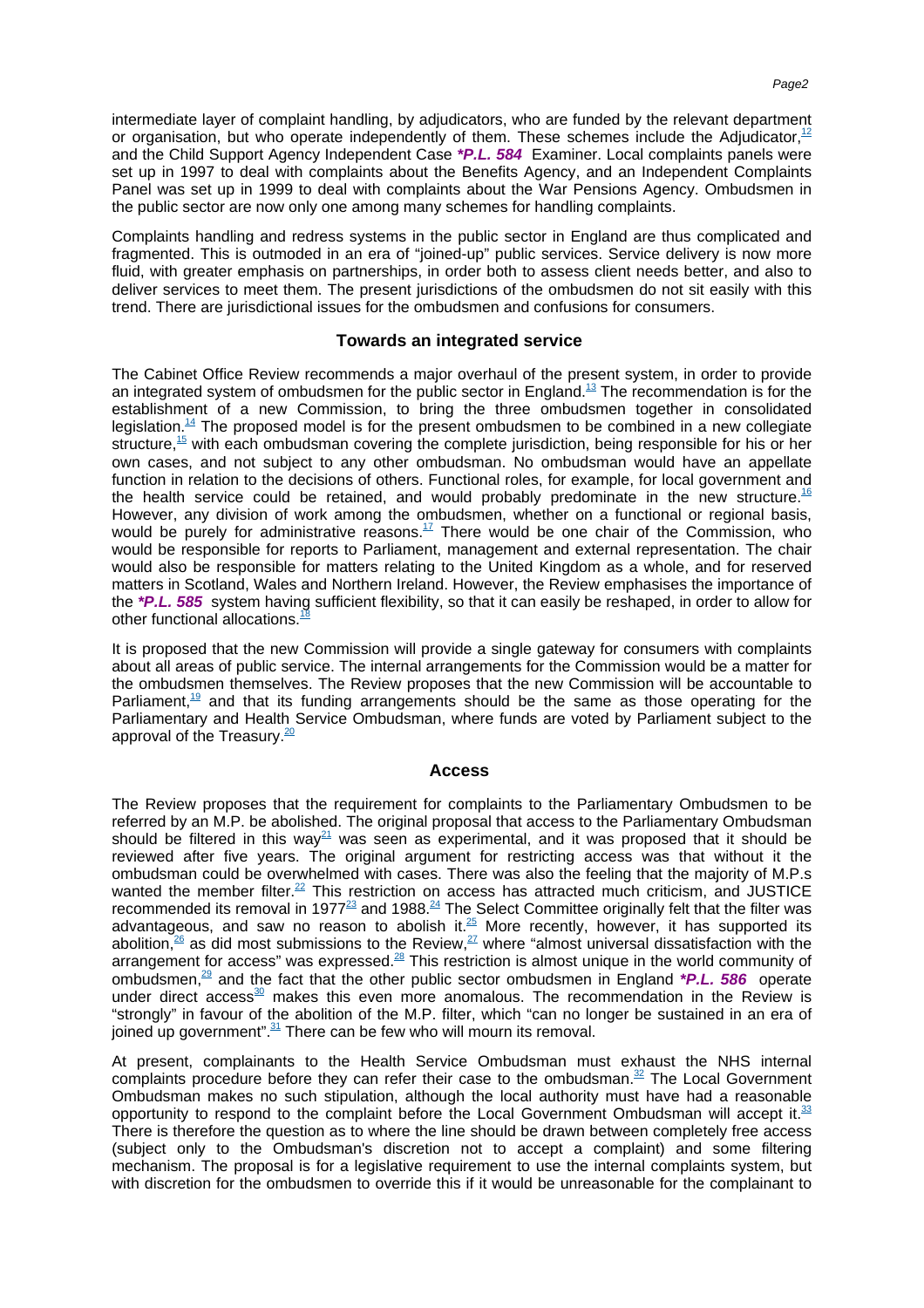intermediate layer of complaint handling, by adjudicators, who are funded by the relevant department or organisation, but who operate independently of them. These schemes include the [Adjudicator,](#page-5-5) $12$ and the Child Support Agency Independent Case **\*P.L. 584** Examiner. Local complaints panels were set up in 1997 to deal with complaints about the Benefits Agency, and an Independent Complaints Panel was set up in 1999 to deal with complaints about the War Pensions Agency. Ombudsmen in the public sector are now only one among many schemes for handling complaints.

Complaints handling and redress systems in the public sector in England are thus complicated and fragmented. This is outmoded in an era of "joined-up" public services. Service delivery is now more fluid, with greater emphasis on partnerships, in order both to assess client needs better, and also to deliver services to meet them. The present jurisdictions of the ombudsmen do not sit easily with this trend. There are jurisdictional issues for the ombudsmen and confusions for consumers.

### **Towards an integrated service**

The Cabinet Office Review recommends a major overhaul of the present system, in order to provide an integrated system of ombudsmen for the public sector in [England.](#page-5-6)<sup>13</sup> The recommendation is for the establishment of a new Commission, to bring the three ombudsmen together in consolidated [legislation.](#page-5-7)<sup>14</sup> The proposed model is for the present ombudsmen to be combined in a new collegiate [structure,](#page-5-8)<sup>15</sup> with each ombudsman covering the complete jurisdiction, being responsible for his or her own cases, and not subject to any other ombudsman. No ombudsman would have an appellate function in relation to the decisions of others. Functional roles, for example, for local government and the health service could be retained, and would probably predominate in the new [structure.](#page-5-9)<sup>16</sup> However, any division of work among the ombudsmen, whether on a functional or regional basis, would be purely for administrative [reasons.](#page-5-10) $17$  There would be one chair of the Commission, who would be responsible for reports to Parliament, management and external representation. The chair would also be responsible for matters relating to the United Kingdom as a whole, and for reserved matters in Scotland, Wales and Northern Ireland. However, the Review emphasises the importance of the **\*P.L. 585** system having sufficient flexibility, so that it can easily be reshaped, in order to allow for other functiona[l allocations.](#page-5-11)<sup>1</sup>

It is proposed that the new Commission will provide a single gateway for consumers with complaints about all areas of public service. The internal arrangements for the Commission would be a matter for the ombudsmen themselves. The Review proposes that the new Commission will be accountable to [Parliament,](#page-5-12) $19$  and that its funding arrangements should be the same as those operating for the Parliamentary and Health Service Ombudsman, where funds are voted by Parliament subject to the approval of th[e Treasury.](#page-5-13) $20$ 

#### **Access**

The Review proposes that the requirement for complaints to the Parliamentary Ombudsmen to be referred by an M.P. be abolished. The original proposal that access to the Parliamentary Ombudsman should be filtered in this [way](#page-5-14)<sup>21</sup> was seen as experimental, and it was proposed that it should be reviewed after five years. The original argument for restricting access was that without it the ombudsman could be overwhelmed with cases. There was also the feeling that the majority of M.P.s wanted the member [filter.](#page-5-15)<sup>22</sup> This restriction on access has attracted much criticism, and JUSTICE recommended its removal in [1977](#page-5-16)<sup>23</sup> an[d 1988.](#page-5-17)<sup>24</sup> The Select Committee originally felt that the filter was advantageous, and saw no reason to abolish [it.](#page-5-18) $^{25}$  More recently, however, it has supported its [abolition,](#page-6-0) $^{26}$  as did most submissions to the [Review,](#page-6-1) $^{27}$  where "almost universal dissatisfaction with the arrangement for access" was [expressed.](#page-6-2)<sup>28</sup> This restriction is almost unique in the world community of [ombudsmen,](#page-6-3)<sup>29</sup> and the fact that the other public sector ombudsmen in England **\*P.L. 586** operate under direct [access](#page-6-4) $30$  makes this even more anomalous. The recommendation in the Review is "strongly" in favour of the abolition of the M.P. filter, which "can no longer be sustained in an era of  $\frac{1}{2}$  ioined up [government".](#page-6-5)  $\frac{31}{2}$  There can be few who will mourn its removal.

At present, complainants to the Health Service Ombudsman must exhaust the NHS internal complaints procedure before they can refer their case to the [ombudsman.](#page-6-6) $32$  The Local Government Ombudsman makes no such stipulation, although the local authority must have had a reasonable opportunity to respond to the complaint before the Local Government Ombudsman will accept [it.](#page-6-7) $33$ There is therefore the question as to where the line should be drawn between completely free access (subject only to the Ombudsman's discretion not to accept a complaint) and some filtering mechanism. The proposal is for a legislative requirement to use the internal complaints system, but with discretion for the ombudsmen to override this if it would be unreasonable for the complainant to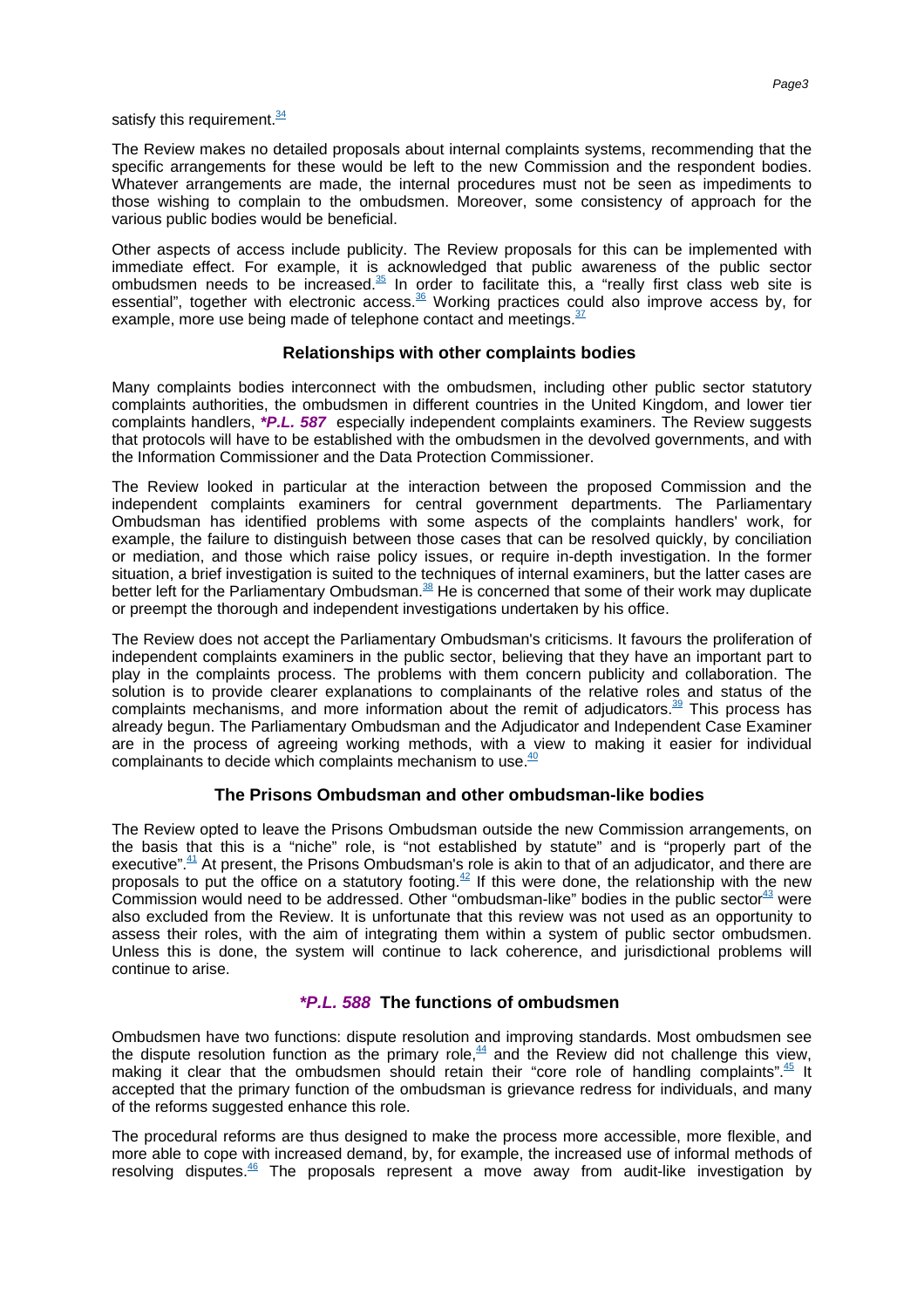satisfy this [requirement.](#page-6-8)<sup>34</sup>

The Review makes no detailed proposals about internal complaints systems, recommending that the specific arrangements for these would be left to the new Commission and the respondent bodies. Whatever arrangements are made, the internal procedures must not be seen as impediments to those wishing to complain to the ombudsmen. Moreover, some consistency of approach for the various public bodies would be beneficial.

Other aspects of access include publicity. The Review proposals for this can be implemented with immediate effect. For example, it is acknowledged that public awareness of the public sector ombudsmen needs to be [increased.](#page-6-9)<sup>35</sup> In order to facilitate this, a "really first class web site is essential", together with electronic [access.](#page-6-10)<sup>36</sup> Working practices could also improve access by, for example, more use being made of telephone contact an[d meetings.](#page-6-11)  $37$ 

# **Relationships with other complaints bodies**

Many complaints bodies interconnect with the ombudsmen, including other public sector statutory complaints authorities, the ombudsmen in different countries in the United Kingdom, and lower tier complaints handlers, **\*P.L. 587** especially independent complaints examiners. The Review suggests that protocols will have to be established with the ombudsmen in the devolved governments, and with the Information Commissioner and the Data Protection Commissioner.

The Review looked in particular at the interaction between the proposed Commission and the independent complaints examiners for central government departments. The Parliamentary Ombudsman has identified problems with some aspects of the complaints handlers' work, for example, the failure to distinguish between those cases that can be resolved quickly, by conciliation or mediation, and those which raise policy issues, or require in-depth investigation. In the former situation, a brief investigation is suited to the techniques of internal examiners, but the latter cases are better left for the Parliamentar[y Ombudsman.](#page-6-12)<sup>38</sup> He is concerned that some of their work may duplicate or preempt the thorough and independent investigations undertaken by his office.

The Review does not accept the Parliamentary Ombudsman's criticisms. It favours the proliferation of independent complaints examiners in the public sector, believing that they have an important part to play in the complaints process. The problems with them concern publicity and collaboration. The solution is to provide clearer explanations to complainants of the relative roles and status of the complaints mechanisms, and more information about the remit of [adjudicators.](#page-6-13)<sup>39</sup> This process has already begun. The Parliamentary Ombudsman and the Adjudicator and Independent Case Examiner are in the process of agreeing working methods, with a view to making it easier for individual complainants to decide which complaints mechanism t[o use.](#page-6-14)<sup>40</sup>

# **The Prisons Ombudsman and other ombudsman-like bodies**

The Review opted to leave the Prisons Ombudsman outside the new Commission arrangements, on the basis that this is a "niche" role, is "not established by statute" and is "properly part of the [executive".](#page-6-15)<sup>41</sup> At present, the Prisons Ombudsman's role is akin to that of an adjudicator, and there are proposals to put the office on a statutory [footing.](#page-6-16)<sup> $42$ </sup> If this were done, the relationship with the new Commission would need to be addressed. Other "ombudsman-like" bodies in the public [sector](#page-6-17)  $43$  were also excluded from the Review. It is unfortunate that this review was not used as an opportunity to assess their roles, with the aim of integrating them within a system of public sector ombudsmen. Unless this is done, the system will continue to lack coherence, and jurisdictional problems will continue to arise.

# **\*P.L. 588 The functions of ombudsmen**

Ombudsmen have two functions: dispute resolution and improving standards. Most ombudsmen see the dispute resolution function as the primary [role,](#page-6-18) $44$  and the Review did not challenge this view, making it clear that the ombudsmen should retain their "core role of handling [complaints".](#page-6-19) $45$  It accepted that the primary function of the ombudsman is grievance redress for individuals, and many of the reforms suggested enhance this role.

The procedural reforms are thus designed to make the process more accessible, more flexible, and more able to cope with increased demand, by, for example, the increased use of informal methods of resolving [disputes.](#page-6-20) $46$  The proposals represent a move away from audit-like investigation by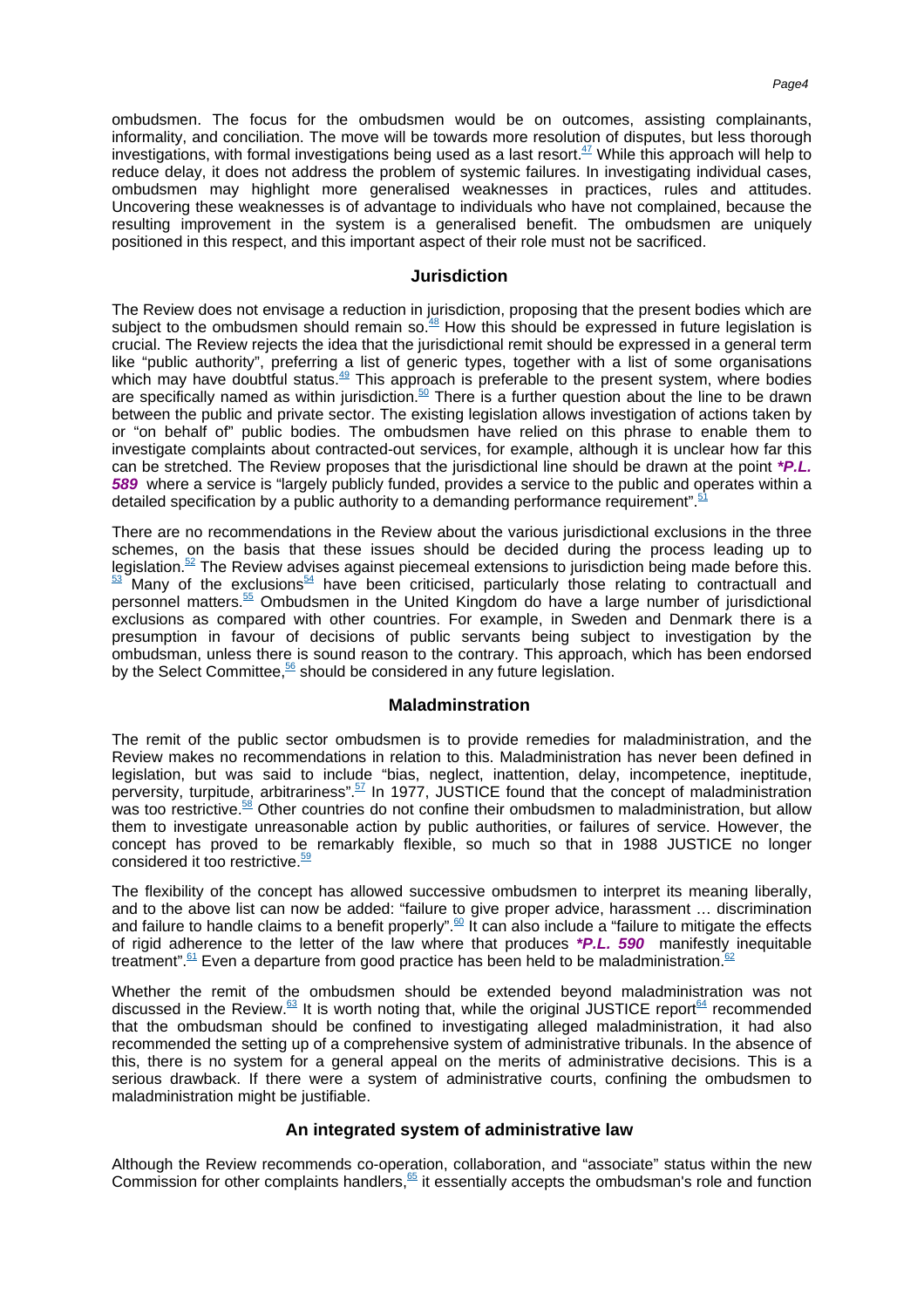ombudsmen. The focus for the ombudsmen would be on outcomes, assisting complainants, informality, and conciliation. The move will be towards more resolution of disputes, but less thorough investigations, with formal investigations being used as a last [resort.](#page-6-21) $47$  While this approach will help to reduce delay, it does not address the problem of systemic failures. In investigating individual cases, ombudsmen may highlight more generalised weaknesses in practices, rules and attitudes. Uncovering these weaknesses is of advantage to individuals who have not complained, because the resulting improvement in the system is a generalised benefit. The ombudsmen are uniquely positioned in this respect, and this important aspect of their role must not be sacrificed.

#### **Jurisdiction**

The Review does not envisage a reduction in jurisdiction, proposing that the present bodies which are subject to the ombudsmen should remain [so.](#page-6-22) $48$  How this should be expressed in future legislation is crucial. The Review rejects the idea that the jurisdictional remit should be expressed in a general term like "public authority", preferring a list of generic types, together with a list of some organisations which may have doubtful [status.](#page-6-23)<sup>49</sup> This approach is preferable to the present system, where bodies are specifically named as within [jurisdiction.](#page-7-0)<sup>50</sup> There is a further question about the line to be drawn between the public and private sector. The existing legislation allows investigation of actions taken by or "on behalf of" public bodies. The ombudsmen have relied on this phrase to enable them to investigate complaints about contracted-out services, for example, although it is unclear how far this can be stretched. The Review proposes that the jurisdictional line should be drawn at the point **\*P.L. 589** where a service is "largely publicly funded, provides a service to the public and operates within a detailed specification by a public authority to a demanding performanc[e requirement".](#page-7-1)<sup>5</sup>

There are no recommendations in the Review about the various jurisdictional exclusions in the three schemes, on the basis that these issues should be decided during the process leading up to [legislation.](#page-7-2)<sup>52</sup> The Review advises against piecemeal extensions to jurisdiction being made before [this.](#page-7-3)  $\frac{53}{2}$  $\frac{53}{2}$  $\frac{53}{2}$  Many of the [exclusions](#page-7-4)<sup>54</sup> have been criticised, particularly those relating to contractuall and personnel [matters.](#page-7-5)<sup>55</sup> Ombudsmen in the United Kingdom do have a large number of jurisdictional exclusions as compared with other countries. For example, in Sweden and Denmark there is a presumption in favour of decisions of public servants being subject to investigation by the ombudsman, unless there is sound reason to the contrary. This approach, which has been endorsed by the Select [Committee,](#page-7-6) <sup>56</sup> should be considered in any future legislation.

### **Maladminstration**

The remit of the public sector ombudsmen is to provide remedies for maladministration, and the Review makes no recommendations in relation to this. Maladministration has never been defined in legislation, but was said to include "bias, neglect, inattention, delay, incompetence, ineptitude, perversity, turpitude, [arbitrariness".](#page-7-7)<sup>57</sup> In 1977, JUSTICE found that the concept of maladministration was too [restrictive.](#page-7-8)<sup>58</sup> Other countries do not confine their ombudsmen to maladministration, but allow them to investigate unreasonable action by public authorities, or failures of service. However, the concept has proved to be remarkably flexible, so much so that in 1988 JUSTICE no longer considered it to[o restrictive.](#page-7-9)<sup>59</sup>

The flexibility of the concept has allowed successive ombudsmen to interpret its meaning liberally, and to the above list can now be added: "failure to give proper advice, harassment … discrimination and failure to handle claims to a benefi[t properly".](#page-7-10)<sup>60</sup> It can also include a "failure to mitigate the effects of rigid adherence to the letter of the law where that produces **\*P.L. 590** manifestly inequitable [treatment".](#page-7-11)  $61$  Even a departure from good practice has been held to be [maladministration.](#page-7-12)<sup>62</sup>

Whether the remit of the ombudsmen should be extended beyond maladministration was not discussed in the [Review.](#page-7-13) $63$  It is worth noting that, while the original JUSTICE [report](#page-7-14) $64$  recommended that the ombudsman should be confined to investigating alleged maladministration, it had also recommended the setting up of a comprehensive system of administrative tribunals. In the absence of this, there is no system for a general appeal on the merits of administrative decisions. This is a serious drawback. If there were a system of administrative courts, confining the ombudsmen to maladministration might be justifiable.

### **An integrated system of administrative law**

Although the Review recommends co-operation, collaboration, and "associate" status within the new Commission for other complaint[s handlers,](#page-7-15)  $65$  it essentially accepts the ombudsman's role and function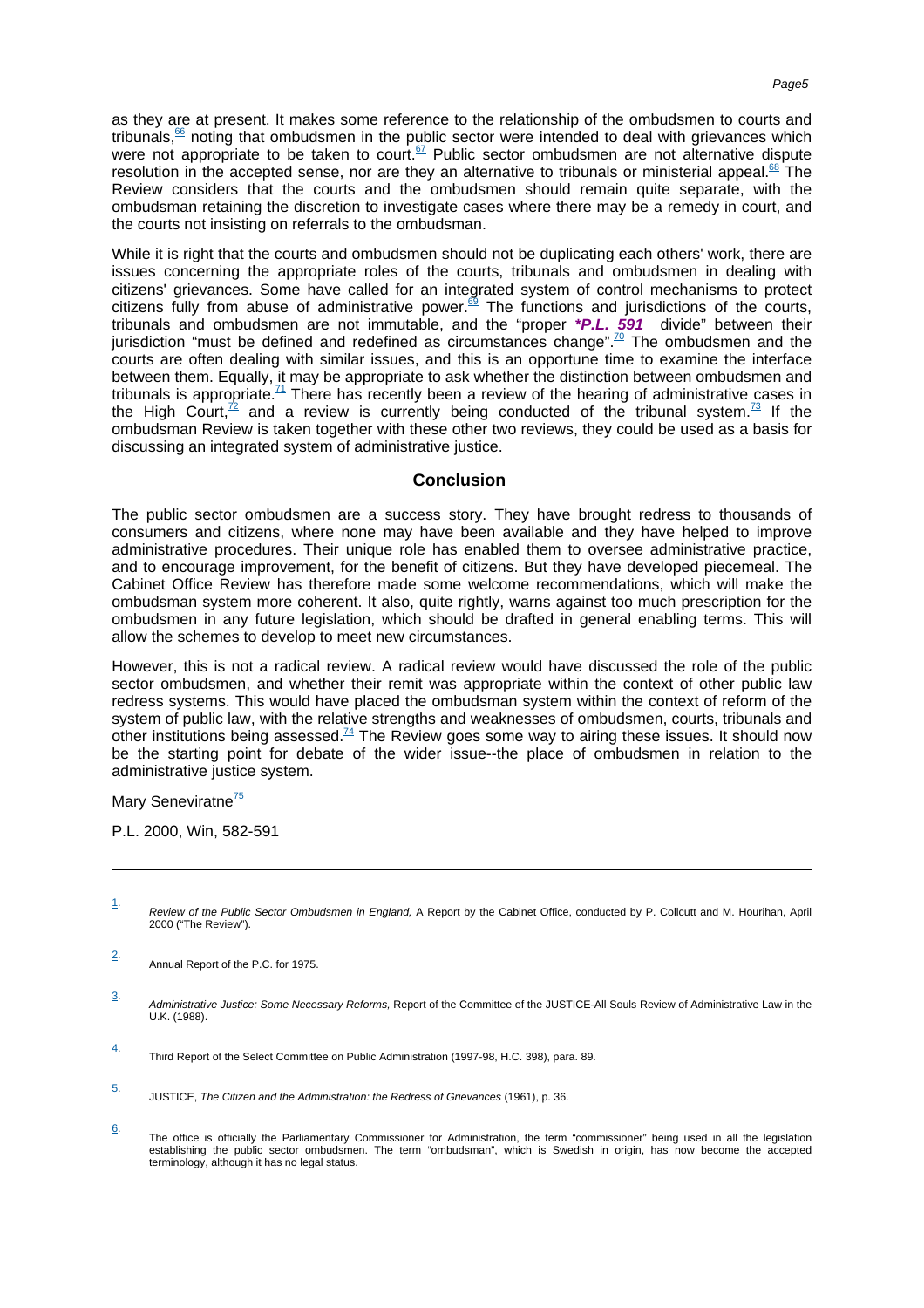as they are at present. It makes some reference to the relationship of the ombudsmen to courts and [tribunals,](#page-7-16) $66$  noting that ombudsmen in the public sector were intended to deal with grievances which were not appropriate to be taken to [court.](#page-7-17)<sup>67</sup> Public sector ombudsmen are not alternative dispute resolution in the accepted sense, nor are they an alternative to tribunals or ministerial [appeal.](#page-7-18)<sup>68</sup> The Review considers that the courts and the ombudsmen should remain quite separate, with the ombudsman retaining the discretion to investigate cases where there may be a remedy in court, and the courts not insisting on referrals to the ombudsman.

While it is right that the courts and ombudsmen should not be duplicating each others' work, there are issues concerning the appropriate roles of the courts, tribunals and ombudsmen in dealing with citizens' grievances. Some have called for an integrated system of control mechanisms to protect citizens fully from abuse of administrative [power.](#page-7-19)<sup>69</sup> The functions and jurisdictions of the courts, tribunals and ombudsmen are not immutable, and the "proper **\*P.L. 591** divide" between their jurisdiction "must be defined and redefined as circumstances [change".](#page-7-20)<sup>70</sup> The ombudsmen and the courts are often dealing with similar issues, and this is an opportune time to examine the interface between them. Equally, it may be appropriate to ask whether the distinction between ombudsmen and tribunals is [appropriate.](#page-7-21)<sup>71</sup> There has recently been a review of the hearing of administrative cases in the High [Court,](#page-7-22)<sup>72</sup> and a review is currently being conducted of the tribunal [system.](#page-7-23)<sup>73</sup> If the ombudsman Review is taken together with these other two reviews, they could be used as a basis for discussing an integrated system of administrative justice.

### **Conclusion**

The public sector ombudsmen are a success story. They have brought redress to thousands of consumers and citizens, where none may have been available and they have helped to improve administrative procedures. Their unique role has enabled them to oversee administrative practice, and to encourage improvement, for the benefit of citizens. But they have developed piecemeal. The Cabinet Office Review has therefore made some welcome recommendations, which will make the ombudsman system more coherent. It also, quite rightly, warns against too much prescription for the ombudsmen in any future legislation, which should be drafted in general enabling terms. This will allow the schemes to develop to meet new circumstances.

However, this is not a radical review. A radical review would have discussed the role of the public sector ombudsmen, and whether their remit was appropriate within the context of other public law redress systems. This would have placed the ombudsman system within the context of reform of the system of public law, with the relative strengths and weaknesses of ombudsmen, courts, tribunals and other institutions bein[g assessed.](#page-7-24)<sup>74</sup> The Review goes some way to airing these issues. It should now be the starting point for debate of the wider issue--the place of ombudsmen in relation to the administrative justice system.

Mar[y Seneviratne](#page-8-0)<sup>75</sup>

P.L. 2000, Win, 582-591

- <span id="page-4-0"></span>1. Review of the Public Sector Ombudsmen in England, A Report by the Cabinet Office, conducted by P. Collcutt and M. Hourihan, April 2000 ("The Review").
- <span id="page-4-1"></span>2. Annual Report of the P.C. for 1975.
- <span id="page-4-2"></span>3. Administrative Justice: Some Necessary Reforms, Report of the Committee of the JUSTICE-All Souls Review of Administrative Law in the U.K. (1988).

<span id="page-4-3"></span><sup>4.</sup> Third Report of the Select Committee on Public Administration (1997-98, H.C. 398), para. 89.

<span id="page-4-4"></span><sup>5.</sup> JUSTICE, The Citizen and the Administration: the Redress of Grievances (1961), p. 36.

<span id="page-4-5"></span><sup>6.</sup> The office is officially the Parliamentary Commissioner for Administration, the term "commissioner" being used in all the legislation establishing the public sector ombudsmen. The term "ombudsman", which is Swedish in origin, has now become the accepted terminology, although it has no legal status.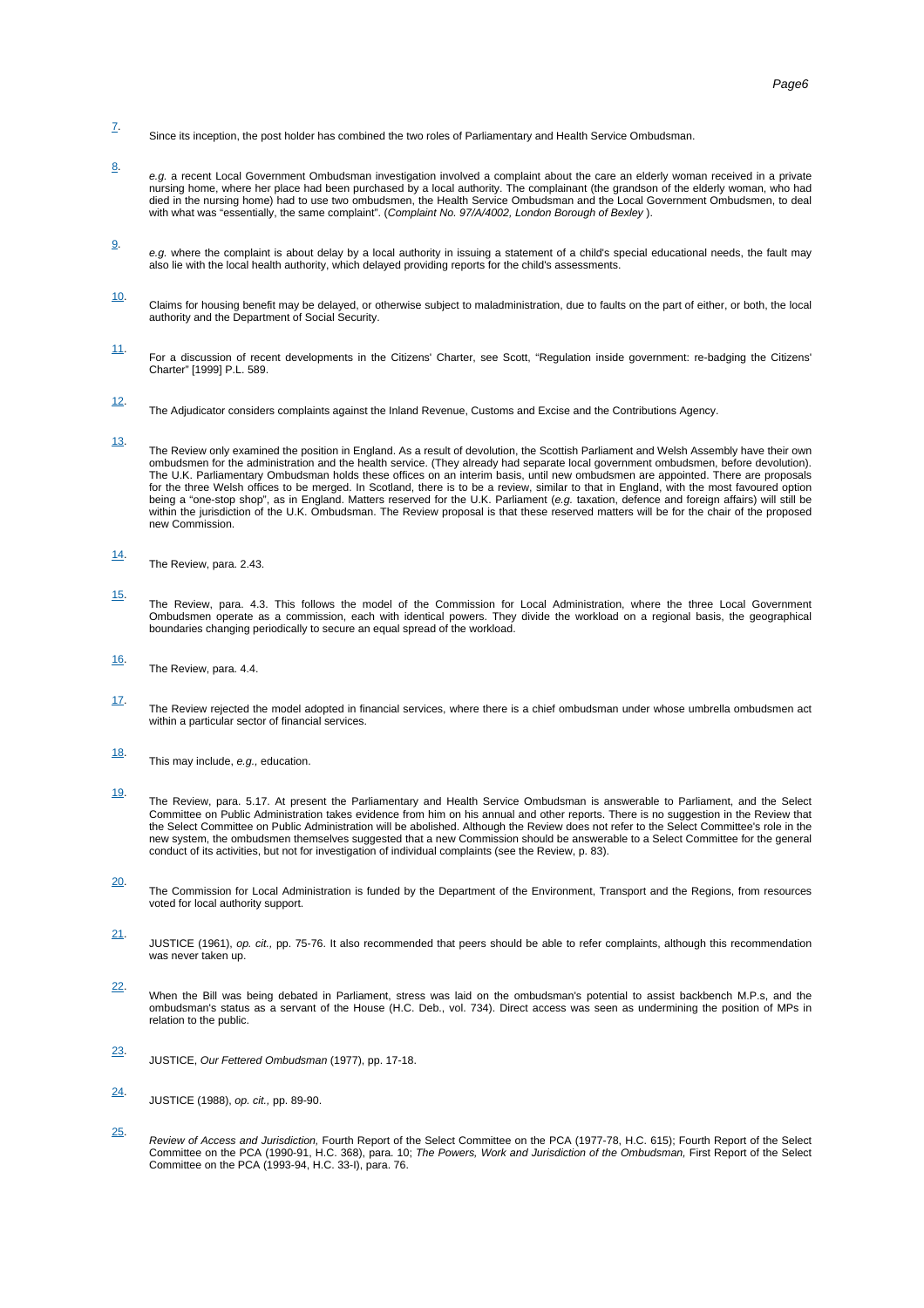- <span id="page-5-0"></span>7. Since its inception, the post holder has combined the two roles of Parliamentary and Health Service Ombudsman.
- <span id="page-5-1"></span>8. e.g. a recent Local Government Ombudsman investigation involved a complaint about the care an elderly woman received in a private<br>nursing home, where her place had been purchased by a local authority. The complainant (the died in the nursing home) had to use two ombudsmen, the Health Service Ombudsman and the Local Government Ombudsmen, to deal with what was "essentially, the same complaint". (Complaint No. 97/A/4002, London Borough of Bexley).
- <span id="page-5-2"></span>9. e.g. where the complaint is about delay by a local authority in issuing a statement of a child's special educational needs, the fault may<br>also lie with the local health authority, which delayed providing reports for the ch
- <span id="page-5-3"></span>10. Claims for housing benefit may be delayed, or otherwise subject to maladministration, due to faults on the part of either, or both, the local authority and the Department of Social Security.
- <span id="page-5-4"></span>11. For a discussion of recent developments in the Citizens' Charter, see Scott, "Regulation inside government: re-badging the Citizens' Charter" [1999] P.L. 589.
- <span id="page-5-5"></span>12. The Adjudicator considers complaints against the Inland Revenue, Customs and Excise and the Contributions Agency.
- <span id="page-5-6"></span>13. The Review only examined the position in England. As a result of devolution, the Scottish Parliament and Welsh Assembly have their own ombudsmen for the administration and the health service. (They already had separate local government ombudsmen, before devolution). The U.K. Parliamentary Ombudsman holds these offices on an interim basis, until new ombudsmen are appointed. There are proposals for the three Welsh offices to be merged. In Scotland, there is to be a review, similar to that in England, with the most favoured option being a "one-stop shop", as in England. Matters reserved for the U.K. Parliament (e.g. taxation, defence and foreign affairs) will still be within the jurisdiction of the U.K. Ombudsman. The Review proposal is that these reserved matters will be for the chair of the proposed new Commission.
- <span id="page-5-7"></span>14. The Review, para. 2.43.
- <span id="page-5-8"></span>15. The Review, para. 4.3. This follows the model of the Commission for Local Administration, where the three Local Government Ombudsmen operate as a commission, each with identical powers. They divide the workload on a regional basis, the geographical boundaries changing periodically to secure an equal spread of the workload.
- <span id="page-5-9"></span>16. The Review, para. 4.4.
- <span id="page-5-10"></span>17. The Review rejected the model adopted in financial services, where there is a chief ombudsman under whose umbrella ombudsmen act within a particular sector of financial services.
- <span id="page-5-11"></span>18. This may include, e.g., education.
- <span id="page-5-12"></span>19. The Review, para. 5.17. At present the Parliamentary and Health Service Ombudsman is answerable to Parliament, and the Select Committee on Public Administration takes evidence from him on his annual and other reports. There is no suggestion in the Review that the Select Committee on Public Administration will be abolished. Although the Review does not refer to the Select Committee's role in the new system, the ombudsmen themselves suggested that a new Commission should be answerable to a Select Committee for the general conduct of its activities, but not for investigation of individual complaints (see the Review, p. 83).
- <span id="page-5-13"></span>20. The Commission for Local Administration is funded by the Department of the Environment, Transport and the Regions, from resources voted for local authority support.
- <span id="page-5-14"></span>21. JUSTICE (1961), op. cit., pp. 75-76. It also recommended that peers should be able to refer complaints, although this recommendation was never taken up.
- <span id="page-5-15"></span>22. When the Bill was being debated in Parliament, stress was laid on the ombudsman's potential to assist backbench M.P.s, and the ombudsman's status as a servant of the House (H.C. Deb., vol. 734). Direct access was seen as undermining the position of MPs in relation to the public.
- <span id="page-5-16"></span>23. JUSTICE, Our Fettered Ombudsman (1977), pp. 17-18.
- <span id="page-5-17"></span>24. JUSTICE (1988), op. cit., pp. 89-90.
- <span id="page-5-18"></span>25. *Review of Access and Jurisdiction,* Fourth Report of the Select Committee on the PCA (1977-78, H.C. 615); Fourth Report of the Select<br>Committee on the PCA (1990-91, H.C. 368), para. 10; *The Powers, Work and Jurisdiction*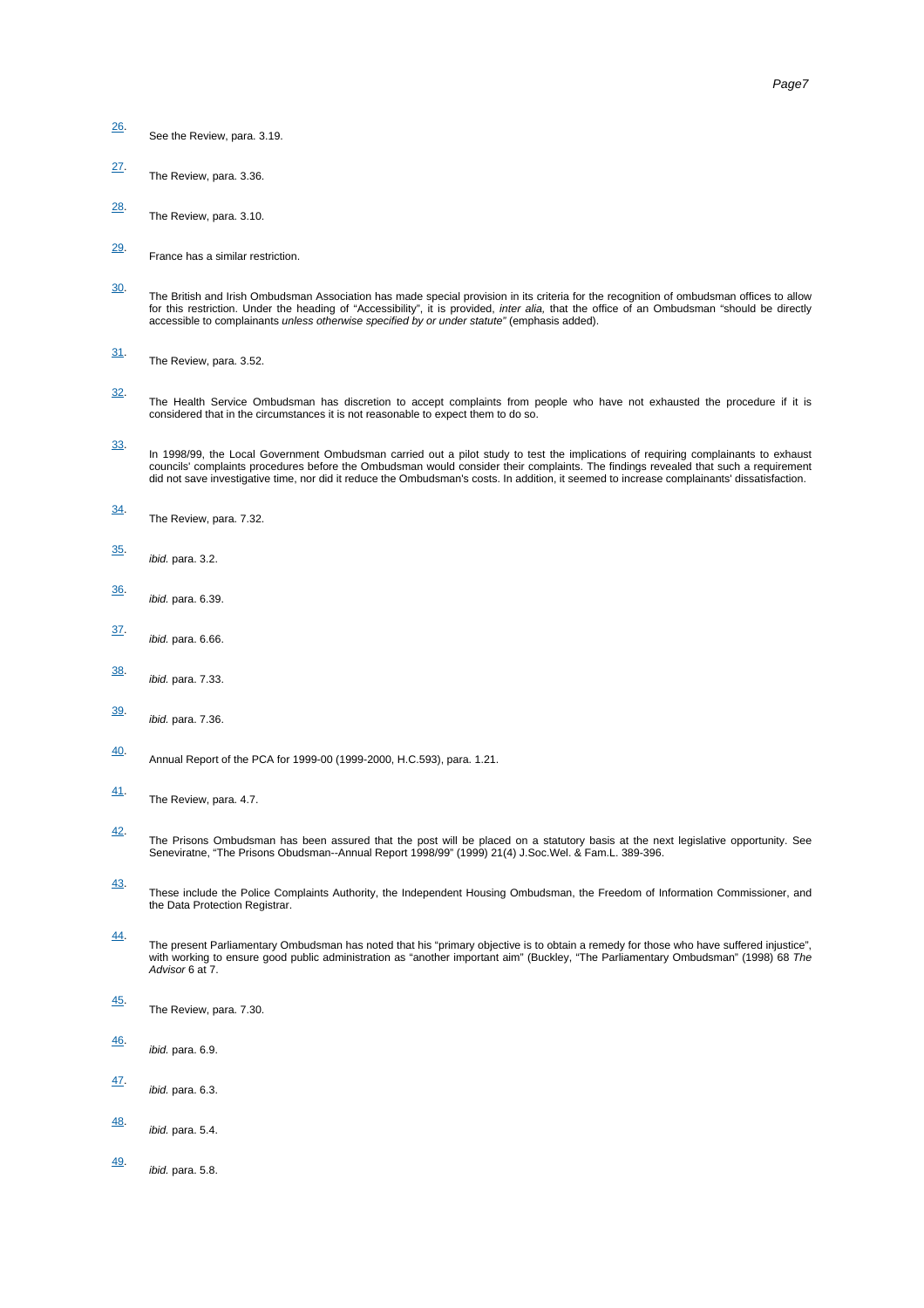- <span id="page-6-0"></span>26. See the Review, para. 3.19.
- <span id="page-6-1"></span>27. The Review, para. 3.36.
- <span id="page-6-2"></span>28. The Review, para. 3.10.
- <span id="page-6-3"></span>29. France has a similar restriction.
- <span id="page-6-4"></span>30. The British and Irish Ombudsman Association has made special provision in its criteria for the recognition of ombudsman offices to allow for this restriction. Under the heading of "Accessibility", it is provided, *inter alia,* that the office of an Ombudsman "should be directly<br>accessible to complainants *unless otherwise specified by or under statute"* (em
- <span id="page-6-5"></span>31. The Review, para. 3.52.
- <span id="page-6-6"></span>32. The Health Service Ombudsman has discretion to accept complaints from people who have not exhausted the procedure if it is considered that in the circumstances it is not reasonable to expect them to do so.
- <span id="page-6-7"></span>33. In 1998/99, the Local Government Ombudsman carried out a pilot study to test the implications of requiring complainants to exhaust councils' complaints procedures before the Ombudsman would consider their complaints. The findings revealed that such a requirement did not save investigative time, nor did it reduce the Ombudsman's costs. In addition, it seemed to increase complainants' dissatisfaction.
- <span id="page-6-8"></span>34. The Review, para. 7.32.
- <span id="page-6-9"></span>35. ibid. para. 3.2.
- <span id="page-6-10"></span>36. ibid. para. 6.39.
- <span id="page-6-11"></span>37. ibid. para. 6.66.
- <span id="page-6-12"></span>38. ibid. para. 7.33.
- <span id="page-6-13"></span>39. ibid. para. 7.36.
- <span id="page-6-14"></span>40. Annual Report of the PCA for 1999-00 (1999-2000, H.C.593), para. 1.21.
- <span id="page-6-15"></span>41. The Review, para. 4.7.
- <span id="page-6-16"></span>42. The Prisons Ombudsman has been assured that the post will be placed on a statutory basis at the next legislative opportunity. See<br>Seneviratne, "The Prisons Obudsman--Annual Report 1998/99" (1999) 21(4) J.Soc.Wel. & Fam.L.
- <span id="page-6-17"></span>43. These include the Police Complaints Authority, the Independent Housing Ombudsman, the Freedom of Information Commissioner, and the Data Protection Registrar.
- <span id="page-6-18"></span>44. The present Parliamentary Ombudsman has noted that his "primary objective is to obtain a remedy for those who have suffered injustice",<br>with working to ensure good public administration as "another important aim" (Buckley, Advisor 6 at 7.
- <span id="page-6-19"></span>45. The Review, para. 7.30.
- <span id="page-6-20"></span>46. ibid. para. 6.9.
- <span id="page-6-21"></span>47. ibid. para. 6.3.
- <span id="page-6-22"></span>48. ibid. para. 5.4.
- <span id="page-6-23"></span>49. ibid. para. 5.8.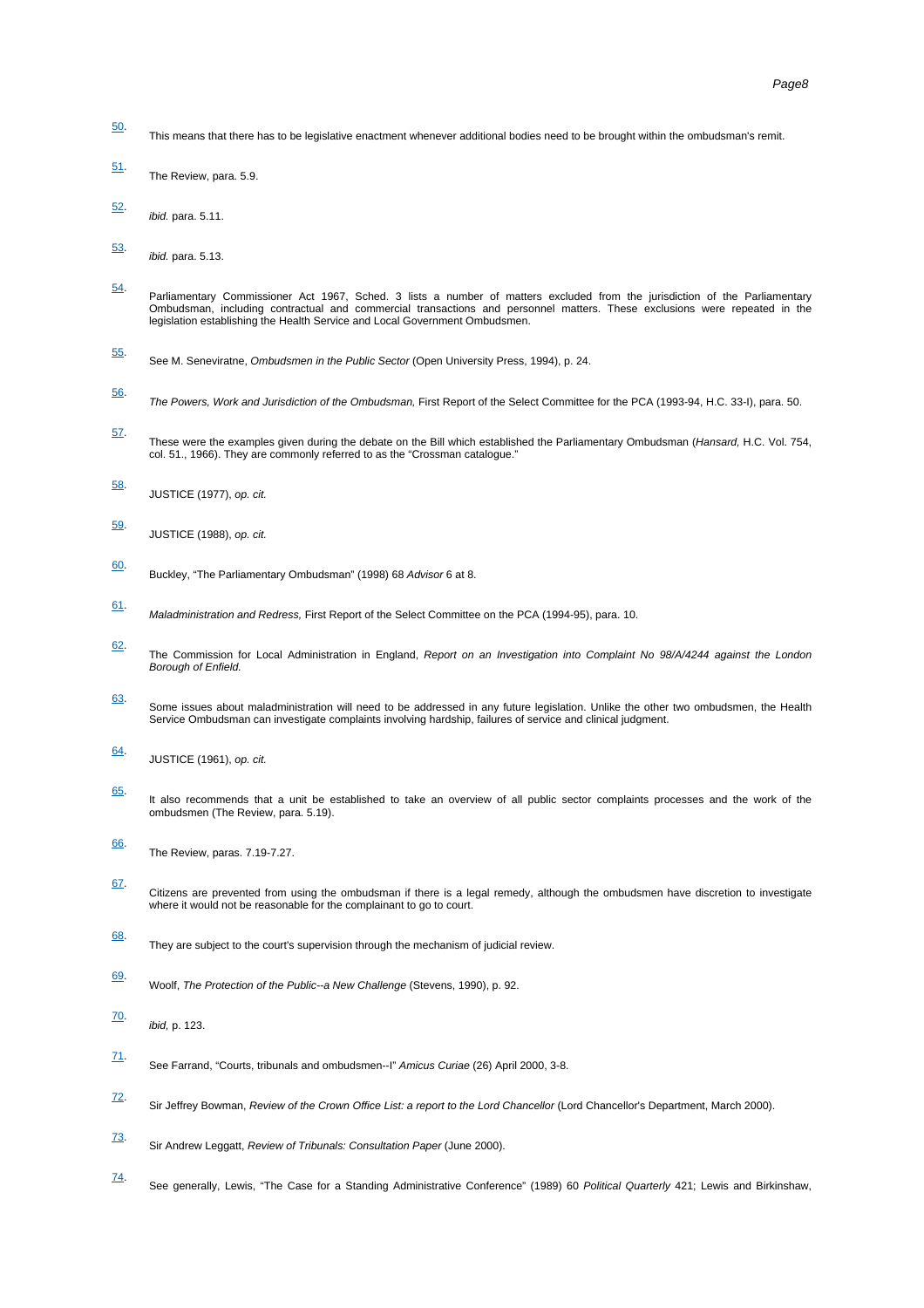- <span id="page-7-0"></span>50. This means that there has to be legislative enactment whenever additional bodies need to be brought within the ombudsman's remit.
- <span id="page-7-1"></span>51. The Review, para. 5.9.
- <span id="page-7-2"></span>52. ibid. para. 5.11.
- <span id="page-7-3"></span>53. ibid. para. 5.13.
- <span id="page-7-4"></span>54. Parliamentary Commissioner Act 1967, Sched. 3 lists a number of matters excluded from the jurisdiction of the Parliamentary Ombudsman, including contractual and commercial transactions and personnel matters. These exclusions were repeated in the legislation establishing the Health Service and Local Government Ombudsmen.
- <span id="page-7-5"></span>55. See M. Seneviratne, Ombudsmen in the Public Sector (Open University Press, 1994), p. 24.
- <span id="page-7-6"></span>56. The Powers, Work and Jurisdiction of the Ombudsman, First Report of the Select Committee for the PCA (1993-94, H.C. 33-I), para. 50.
- <span id="page-7-7"></span>57. These were the examples given during the debate on the Bill which established the Parliamentary Ombudsman (*Hansard,* H.C. Vol. 754,<br>col. 51., 1966). They are commonly referred to as the "Crossman catalogue."
- <span id="page-7-8"></span>58. JUSTICE (1977), op. cit.
- <span id="page-7-9"></span>59. JUSTICE (1988), op. cit.
- <span id="page-7-10"></span>60. Buckley, "The Parliamentary Ombudsman" (1998) 68 Advisor 6 at 8.
- <span id="page-7-11"></span>61. Maladministration and Redress, First Report of the Select Committee on the PCA (1994-95), para. 10.
- <span id="page-7-12"></span>62. The Commission for Local Administration in England, Report on an Investigation into Complaint No 98/A/4244 against the London Borough of Enfield.
- <span id="page-7-13"></span>63. Some issues about maladministration will need to be addressed in any future legislation. Unlike the other two ombudsmen, the Health Service Ombudsman can investigate complaints involving hardship, failures of service and clinical judgment.
- <span id="page-7-14"></span>64. JUSTICE (1961), op. cit.
- <span id="page-7-15"></span>65. It also recommends that a unit be established to take an overview of all public sector complaints processes and the work of the ombudsmen (The Review, para. 5.19).
- <span id="page-7-16"></span>66. The Review, paras. 7.19-7.27.
- <span id="page-7-17"></span>67. Citizens are prevented from using the ombudsman if there is a legal remedy, although the ombudsmen have discretion to investigate where it would not be reasonable for the complainant to go to court.
- <span id="page-7-18"></span>68. They are subject to the court's supervision through the mechanism of judicial review.
- <span id="page-7-19"></span>69. Woolf, The Protection of the Public--a New Challenge (Stevens, 1990), p. 92.
- <span id="page-7-20"></span>70. ibid, p. 123.
- <span id="page-7-21"></span>71. See Farrand, "Courts, tribunals and ombudsmen--I" Amicus Curiae (26) April 2000, 3-8.
- <span id="page-7-22"></span>72. Sir Jeffrey Bowman, Review of the Crown Office List: a report to the Lord Chancellor (Lord Chancellor's Department, March 2000).
- <span id="page-7-23"></span>73. Sir Andrew Leggatt, Review of Tribunals: Consultation Paper (June 2000).
- <span id="page-7-24"></span>74. See generally, Lewis, "The Case for a Standing Administrative Conference" (1989) 60 Political Quarterly 421; Lewis and Birkinshaw,